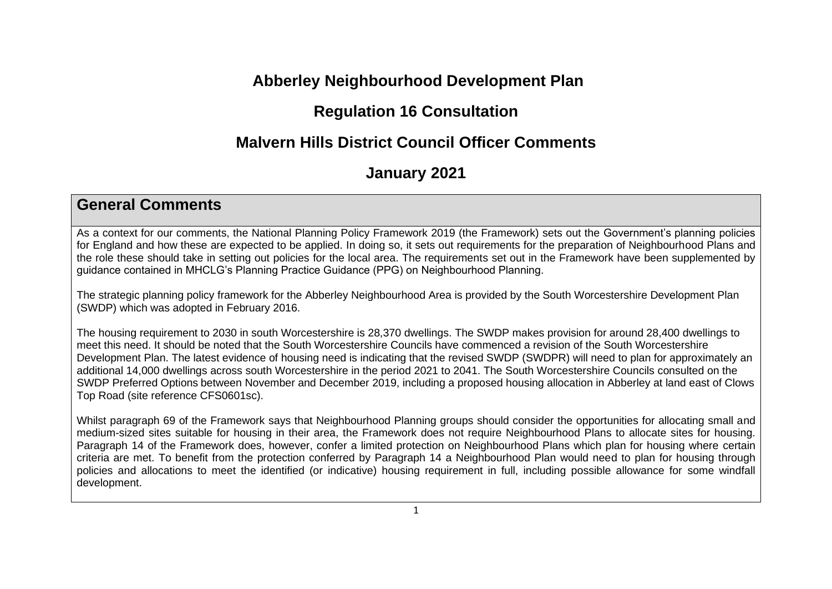# **Abberley Neighbourhood Development Plan**

## **Regulation 16 Consultation**

# **Malvern Hills District Council Officer Comments**

## **January 2021**

#### **General Comments**

As a context for our comments, the National Planning Policy Framework 2019 (the Framework) sets out the Government's planning policies for England and how these are expected to be applied. In doing so, it sets out requirements for the preparation of Neighbourhood Plans and the role these should take in setting out policies for the local area. The requirements set out in the Framework have been supplemented by guidance contained in MHCLG's Planning Practice Guidance (PPG) on Neighbourhood Planning.

The strategic planning policy framework for the Abberley Neighbourhood Area is provided by the South Worcestershire Development Plan (SWDP) which was adopted in February 2016.

The housing requirement to 2030 in south Worcestershire is 28,370 dwellings. The SWDP makes provision for around 28,400 dwellings to meet this need. It should be noted that the South Worcestershire Councils have commenced a revision of the South Worcestershire Development Plan. The latest evidence of housing need is indicating that the revised SWDP (SWDPR) will need to plan for approximately an additional 14,000 dwellings across south Worcestershire in the period 2021 to 2041. The South Worcestershire Councils consulted on the SWDP Preferred Options between November and December 2019, including a proposed housing allocation in Abberley at land east of Clows Top Road (site reference CFS0601sc).

Whilst paragraph 69 of the Framework says that Neighbourhood Planning groups should consider the opportunities for allocating small and medium-sized sites suitable for housing in their area, the Framework does not require Neighbourhood Plans to allocate sites for housing. Paragraph 14 of the Framework does, however, confer a limited protection on Neighbourhood Plans which plan for housing where certain criteria are met. To benefit from the protection conferred by Paragraph 14 a Neighbourhood Plan would need to plan for housing through policies and allocations to meet the identified (or indicative) housing requirement in full, including possible allowance for some windfall development.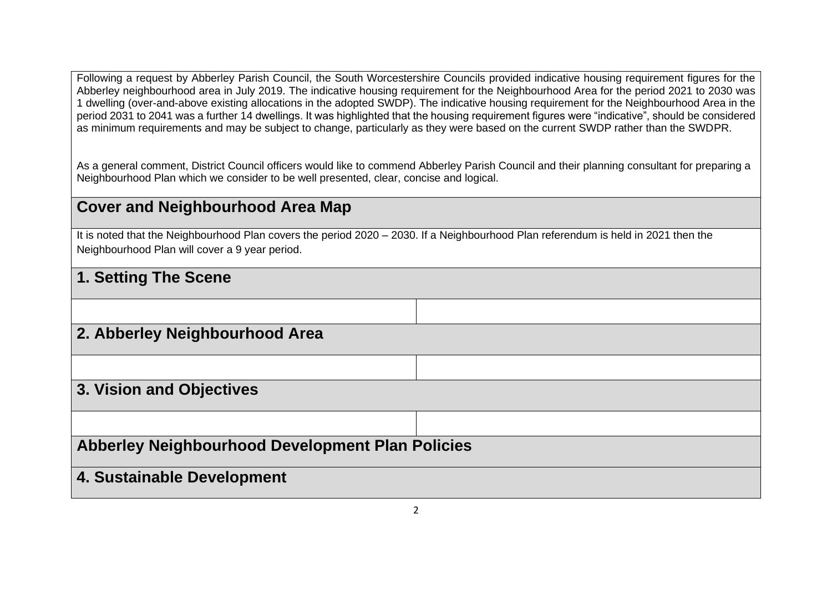Following a request by Abberley Parish Council, the South Worcestershire Councils provided indicative housing requirement figures for the Abberley neighbourhood area in July 2019. The indicative housing requirement for the Neighbourhood Area for the period 2021 to 2030 was 1 dwelling (over-and-above existing allocations in the adopted SWDP). The indicative housing requirement for the Neighbourhood Area in the period 2031 to 2041 was a further 14 dwellings. It was highlighted that the housing requirement figures were "indicative", should be considered as minimum requirements and may be subject to change, particularly as they were based on the current SWDP rather than the SWDPR.

As a general comment, District Council officers would like to commend Abberley Parish Council and their planning consultant for preparing a Neighbourhood Plan which we consider to be well presented, clear, concise and logical.

## **Cover and Neighbourhood Area Map**

It is noted that the Neighbourhood Plan covers the period 2020 – 2030. If a Neighbourhood Plan referendum is held in 2021 then the Neighbourhood Plan will cover a 9 year period.

### **1. Setting The Scene**

| 2. Abberley Neighbourhood Area                   |  |
|--------------------------------------------------|--|
|                                                  |  |
| 3. Vision and Objectives                         |  |
|                                                  |  |
| Abberley Neighbourhood Development Plan Policies |  |
| 4. Sustainable Development                       |  |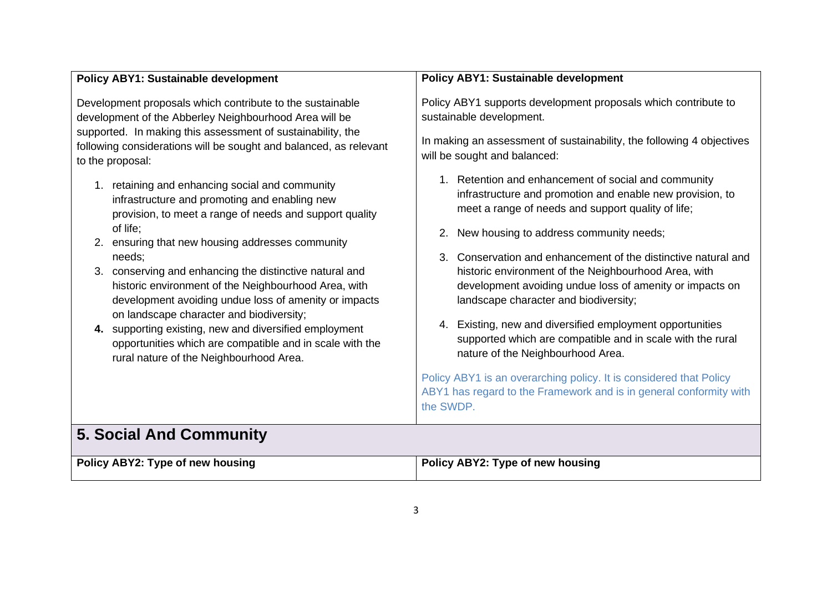| <b>Policy ABY1: Sustainable development</b>                                                                                                                                                                                                                                                                                                                                                                                                                                                                                                                                                                                             | <b>Policy ABY1: Sustainable development</b>                                                                                                                                                                                                                                                                                                                                                                                                                                                                                                                                                                                                                                                                                                                                |
|-----------------------------------------------------------------------------------------------------------------------------------------------------------------------------------------------------------------------------------------------------------------------------------------------------------------------------------------------------------------------------------------------------------------------------------------------------------------------------------------------------------------------------------------------------------------------------------------------------------------------------------------|----------------------------------------------------------------------------------------------------------------------------------------------------------------------------------------------------------------------------------------------------------------------------------------------------------------------------------------------------------------------------------------------------------------------------------------------------------------------------------------------------------------------------------------------------------------------------------------------------------------------------------------------------------------------------------------------------------------------------------------------------------------------------|
| Development proposals which contribute to the sustainable<br>development of the Abberley Neighbourhood Area will be<br>supported. In making this assessment of sustainability, the<br>following considerations will be sought and balanced, as relevant<br>to the proposal:                                                                                                                                                                                                                                                                                                                                                             | Policy ABY1 supports development proposals which contribute to<br>sustainable development.<br>In making an assessment of sustainability, the following 4 objectives<br>will be sought and balanced:                                                                                                                                                                                                                                                                                                                                                                                                                                                                                                                                                                        |
| 1. retaining and enhancing social and community<br>infrastructure and promoting and enabling new<br>provision, to meet a range of needs and support quality<br>of life;<br>ensuring that new housing addresses community<br>2.<br>needs;<br>conserving and enhancing the distinctive natural and<br>3.<br>historic environment of the Neighbourhood Area, with<br>development avoiding undue loss of amenity or impacts<br>on landscape character and biodiversity;<br>supporting existing, new and diversified employment<br>4.<br>opportunities which are compatible and in scale with the<br>rural nature of the Neighbourhood Area. | 1. Retention and enhancement of social and community<br>infrastructure and promotion and enable new provision, to<br>meet a range of needs and support quality of life;<br>New housing to address community needs;<br>3. Conservation and enhancement of the distinctive natural and<br>historic environment of the Neighbourhood Area, with<br>development avoiding undue loss of amenity or impacts on<br>landscape character and biodiversity;<br>4. Existing, new and diversified employment opportunities<br>supported which are compatible and in scale with the rural<br>nature of the Neighbourhood Area.<br>Policy ABY1 is an overarching policy. It is considered that Policy<br>ABY1 has regard to the Framework and is in general conformity with<br>the SWDP. |
| <b>5. Social And Community</b>                                                                                                                                                                                                                                                                                                                                                                                                                                                                                                                                                                                                          |                                                                                                                                                                                                                                                                                                                                                                                                                                                                                                                                                                                                                                                                                                                                                                            |
| Policy ABY2: Type of new housing                                                                                                                                                                                                                                                                                                                                                                                                                                                                                                                                                                                                        | Policy ABY2: Type of new housing                                                                                                                                                                                                                                                                                                                                                                                                                                                                                                                                                                                                                                                                                                                                           |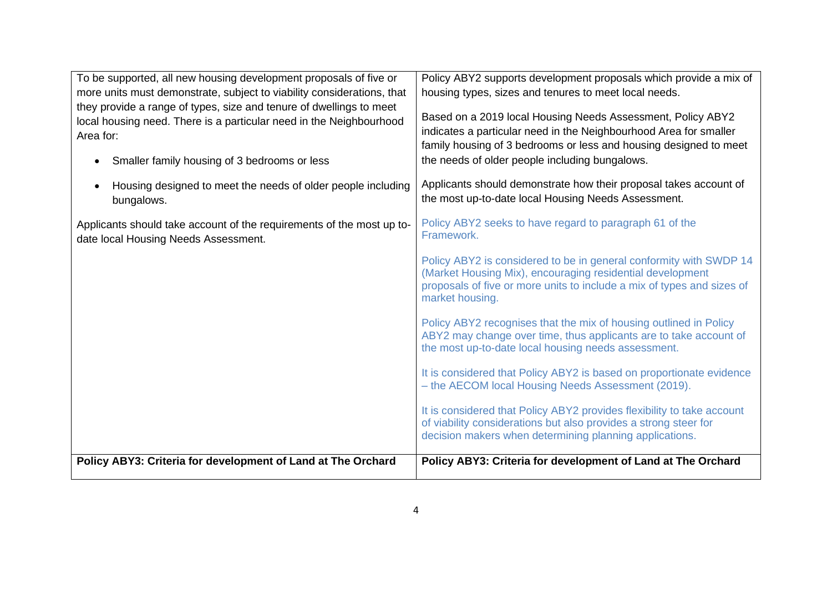| To be supported, all new housing development proposals of five or<br>more units must demonstrate, subject to viability considerations, that<br>they provide a range of types, size and tenure of dwellings to meet<br>local housing need. There is a particular need in the Neighbourhood<br>Area for:<br>Smaller family housing of 3 bedrooms or less<br>$\bullet$<br>Housing designed to meet the needs of older people including | Policy ABY2 supports development proposals which provide a mix of<br>housing types, sizes and tenures to meet local needs.<br>Based on a 2019 local Housing Needs Assessment, Policy ABY2<br>indicates a particular need in the Neighbourhood Area for smaller<br>family housing of 3 bedrooms or less and housing designed to meet<br>the needs of older people including bungalows.<br>Applicants should demonstrate how their proposal takes account of |
|-------------------------------------------------------------------------------------------------------------------------------------------------------------------------------------------------------------------------------------------------------------------------------------------------------------------------------------------------------------------------------------------------------------------------------------|------------------------------------------------------------------------------------------------------------------------------------------------------------------------------------------------------------------------------------------------------------------------------------------------------------------------------------------------------------------------------------------------------------------------------------------------------------|
| bungalows.                                                                                                                                                                                                                                                                                                                                                                                                                          | the most up-to-date local Housing Needs Assessment.                                                                                                                                                                                                                                                                                                                                                                                                        |
| Applicants should take account of the requirements of the most up to-<br>date local Housing Needs Assessment.                                                                                                                                                                                                                                                                                                                       | Policy ABY2 seeks to have regard to paragraph 61 of the<br>Framework.                                                                                                                                                                                                                                                                                                                                                                                      |
|                                                                                                                                                                                                                                                                                                                                                                                                                                     | Policy ABY2 is considered to be in general conformity with SWDP 14<br>(Market Housing Mix), encouraging residential development<br>proposals of five or more units to include a mix of types and sizes of<br>market housing.                                                                                                                                                                                                                               |
|                                                                                                                                                                                                                                                                                                                                                                                                                                     | Policy ABY2 recognises that the mix of housing outlined in Policy<br>ABY2 may change over time, thus applicants are to take account of<br>the most up-to-date local housing needs assessment.                                                                                                                                                                                                                                                              |
|                                                                                                                                                                                                                                                                                                                                                                                                                                     | It is considered that Policy ABY2 is based on proportionate evidence<br>- the AECOM local Housing Needs Assessment (2019).                                                                                                                                                                                                                                                                                                                                 |
|                                                                                                                                                                                                                                                                                                                                                                                                                                     | It is considered that Policy ABY2 provides flexibility to take account<br>of viability considerations but also provides a strong steer for<br>decision makers when determining planning applications.                                                                                                                                                                                                                                                      |
| Policy ABY3: Criteria for development of Land at The Orchard                                                                                                                                                                                                                                                                                                                                                                        | Policy ABY3: Criteria for development of Land at The Orchard                                                                                                                                                                                                                                                                                                                                                                                               |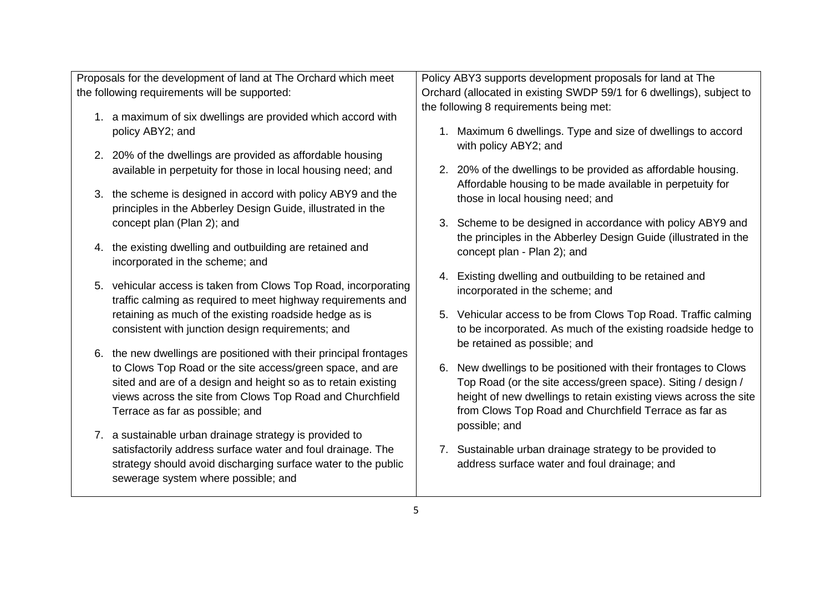| Proposals for the development of land at The Orchard which meet    | Policy ABY3 supports development proposals for land at The            |
|--------------------------------------------------------------------|-----------------------------------------------------------------------|
| the following requirements will be supported:                      | Orchard (allocated in existing SWDP 59/1 for 6 dwellings), subject to |
|                                                                    | the following 8 requirements being met:                               |
| 1. a maximum of six dwellings are provided which accord with       |                                                                       |
| policy ABY2; and                                                   | 1. Maximum 6 dwellings. Type and size of dwellings to accord          |
| 2. 20% of the dwellings are provided as affordable housing         | with policy ABY2; and                                                 |
| available in perpetuity for those in local housing need; and       | 2. 20% of the dwellings to be provided as affordable housing.         |
|                                                                    | Affordable housing to be made available in perpetuity for             |
| 3. the scheme is designed in accord with policy ABY9 and the       | those in local housing need; and                                      |
| principles in the Abberley Design Guide, illustrated in the        |                                                                       |
| concept plan (Plan 2); and                                         | 3. Scheme to be designed in accordance with policy ABY9 and           |
|                                                                    | the principles in the Abberley Design Guide (illustrated in the       |
| 4. the existing dwelling and outbuilding are retained and          | concept plan - Plan 2); and                                           |
| incorporated in the scheme; and                                    |                                                                       |
| 5. vehicular access is taken from Clows Top Road, incorporating    | 4. Existing dwelling and outbuilding to be retained and               |
| traffic calming as required to meet highway requirements and       | incorporated in the scheme; and                                       |
| retaining as much of the existing roadside hedge as is             | 5. Vehicular access to be from Clows Top Road. Traffic calming        |
| consistent with junction design requirements; and                  | to be incorporated. As much of the existing roadside hedge to         |
|                                                                    | be retained as possible; and                                          |
| 6. the new dwellings are positioned with their principal frontages |                                                                       |
| to Clows Top Road or the site access/green space, and are          | New dwellings to be positioned with their frontages to Clows<br>6.    |
| sited and are of a design and height so as to retain existing      | Top Road (or the site access/green space). Siting / design /          |
| views across the site from Clows Top Road and Churchfield          | height of new dwellings to retain existing views across the site      |
| Terrace as far as possible; and                                    | from Clows Top Road and Churchfield Terrace as far as                 |
|                                                                    | possible; and                                                         |
| 7. a sustainable urban drainage strategy is provided to            |                                                                       |
| satisfactorily address surface water and foul drainage. The        | 7. Sustainable urban drainage strategy to be provided to              |
| strategy should avoid discharging surface water to the public      | address surface water and foul drainage; and                          |
| sewerage system where possible; and                                |                                                                       |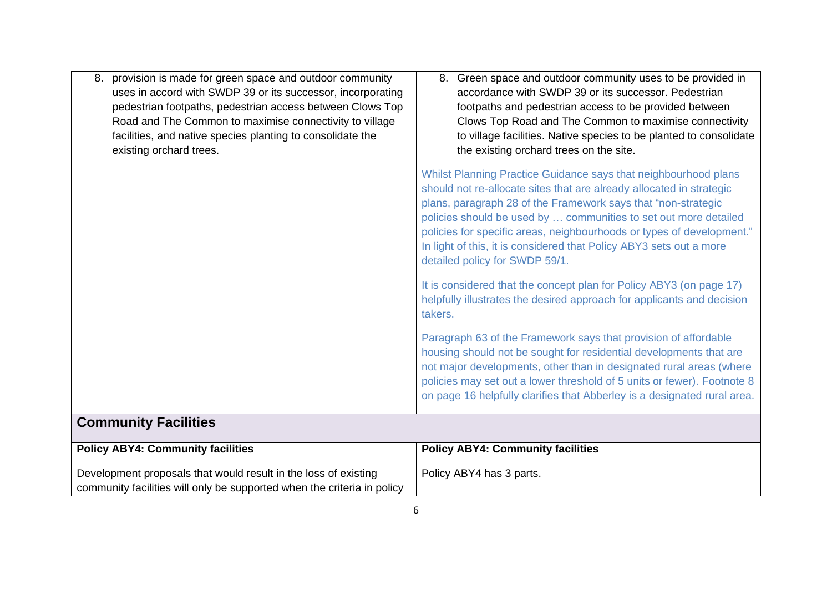| provision is made for green space and outdoor community<br>8.<br>uses in accord with SWDP 39 or its successor, incorporating<br>pedestrian footpaths, pedestrian access between Clows Top<br>Road and The Common to maximise connectivity to village<br>facilities, and native species planting to consolidate the<br>existing orchard trees. | 8. Green space and outdoor community uses to be provided in<br>accordance with SWDP 39 or its successor. Pedestrian<br>footpaths and pedestrian access to be provided between<br>Clows Top Road and The Common to maximise connectivity<br>to village facilities. Native species to be planted to consolidate<br>the existing orchard trees on the site.                                                                                                       |
|-----------------------------------------------------------------------------------------------------------------------------------------------------------------------------------------------------------------------------------------------------------------------------------------------------------------------------------------------|----------------------------------------------------------------------------------------------------------------------------------------------------------------------------------------------------------------------------------------------------------------------------------------------------------------------------------------------------------------------------------------------------------------------------------------------------------------|
|                                                                                                                                                                                                                                                                                                                                               | Whilst Planning Practice Guidance says that neighbourhood plans<br>should not re-allocate sites that are already allocated in strategic<br>plans, paragraph 28 of the Framework says that "non-strategic<br>policies should be used by  communities to set out more detailed<br>policies for specific areas, neighbourhoods or types of development."<br>In light of this, it is considered that Policy ABY3 sets out a more<br>detailed policy for SWDP 59/1. |
|                                                                                                                                                                                                                                                                                                                                               | It is considered that the concept plan for Policy ABY3 (on page 17)<br>helpfully illustrates the desired approach for applicants and decision<br>takers.                                                                                                                                                                                                                                                                                                       |
|                                                                                                                                                                                                                                                                                                                                               | Paragraph 63 of the Framework says that provision of affordable<br>housing should not be sought for residential developments that are<br>not major developments, other than in designated rural areas (where<br>policies may set out a lower threshold of 5 units or fewer). Footnote 8<br>on page 16 helpfully clarifies that Abberley is a designated rural area.                                                                                            |
| <b>Community Facilities</b>                                                                                                                                                                                                                                                                                                                   |                                                                                                                                                                                                                                                                                                                                                                                                                                                                |
| <b>Policy ABY4: Community facilities</b>                                                                                                                                                                                                                                                                                                      | <b>Policy ABY4: Community facilities</b>                                                                                                                                                                                                                                                                                                                                                                                                                       |
| Development proposals that would result in the loss of existing<br>community facilities will only be supported when the criteria in policy                                                                                                                                                                                                    | Policy ABY4 has 3 parts.                                                                                                                                                                                                                                                                                                                                                                                                                                       |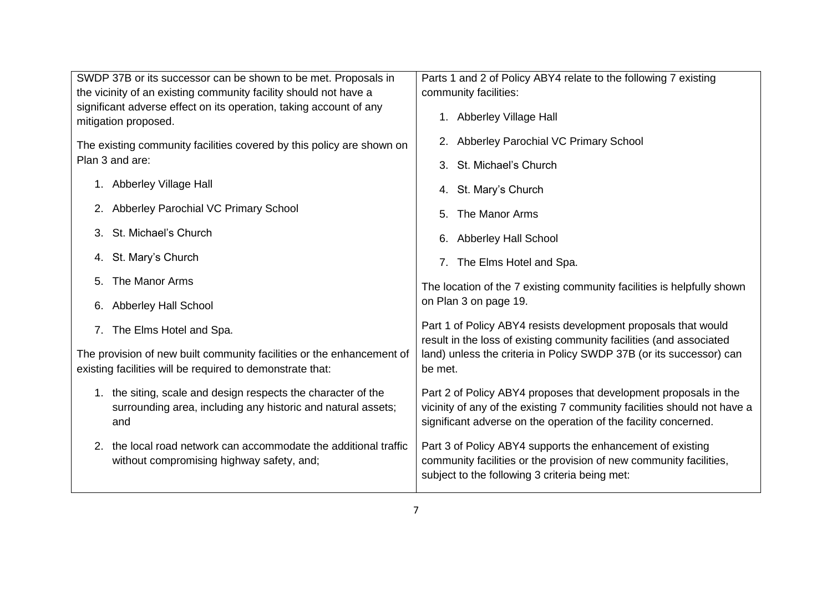| SWDP 37B or its successor can be shown to be met. Proposals in                                                                       | Parts 1 and 2 of Policy ABY4 relate to the following 7 existing                                                                                                                                                 |
|--------------------------------------------------------------------------------------------------------------------------------------|-----------------------------------------------------------------------------------------------------------------------------------------------------------------------------------------------------------------|
| the vicinity of an existing community facility should not have a                                                                     | community facilities:                                                                                                                                                                                           |
| significant adverse effect on its operation, taking account of any<br>mitigation proposed.                                           | 1. Abberley Village Hall                                                                                                                                                                                        |
| The existing community facilities covered by this policy are shown on<br>Plan 3 and are:                                             | 2. Abberley Parochial VC Primary School                                                                                                                                                                         |
|                                                                                                                                      | 3. St. Michael's Church                                                                                                                                                                                         |
| 1. Abberley Village Hall                                                                                                             | 4. St. Mary's Church                                                                                                                                                                                            |
| 2. Abberley Parochial VC Primary School                                                                                              | The Manor Arms<br>5.                                                                                                                                                                                            |
| St. Michael's Church<br>3.                                                                                                           | 6. Abberley Hall School                                                                                                                                                                                         |
| 4. St. Mary's Church                                                                                                                 | 7. The Elms Hotel and Spa.                                                                                                                                                                                      |
| The Manor Arms<br>5.                                                                                                                 | The location of the 7 existing community facilities is helpfully shown                                                                                                                                          |
| <b>Abberley Hall School</b><br>6.                                                                                                    | on Plan 3 on page 19.                                                                                                                                                                                           |
| 7. The Elms Hotel and Spa.                                                                                                           | Part 1 of Policy ABY4 resists development proposals that would<br>result in the loss of existing community facilities (and associated                                                                           |
| The provision of new built community facilities or the enhancement of<br>existing facilities will be required to demonstrate that:   | land) unless the criteria in Policy SWDP 37B (or its successor) can<br>be met.                                                                                                                                  |
| 1. the siting, scale and design respects the character of the<br>surrounding area, including any historic and natural assets;<br>and | Part 2 of Policy ABY4 proposes that development proposals in the<br>vicinity of any of the existing 7 community facilities should not have a<br>significant adverse on the operation of the facility concerned. |
| 2. the local road network can accommodate the additional traffic<br>without compromising highway safety, and;                        | Part 3 of Policy ABY4 supports the enhancement of existing<br>community facilities or the provision of new community facilities,<br>subject to the following 3 criteria being met:                              |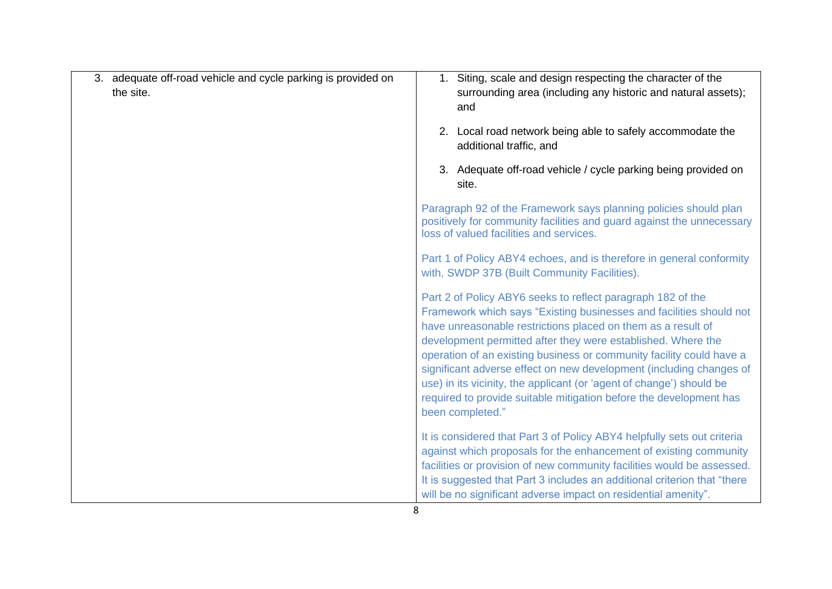| 3. adequate off-road vehicle and cycle parking is provided on<br>the site. | 1. Siting, scale and design respecting the character of the<br>surrounding area (including any historic and natural assets);<br>and<br>2. Local road network being able to safely accommodate the<br>additional traffic, and                                                                                                                                                                                                                                                                                                                                                        |
|----------------------------------------------------------------------------|-------------------------------------------------------------------------------------------------------------------------------------------------------------------------------------------------------------------------------------------------------------------------------------------------------------------------------------------------------------------------------------------------------------------------------------------------------------------------------------------------------------------------------------------------------------------------------------|
|                                                                            | 3. Adequate off-road vehicle / cycle parking being provided on<br>site.                                                                                                                                                                                                                                                                                                                                                                                                                                                                                                             |
|                                                                            | Paragraph 92 of the Framework says planning policies should plan<br>positively for community facilities and guard against the unnecessary<br>loss of valued facilities and services.                                                                                                                                                                                                                                                                                                                                                                                                |
|                                                                            | Part 1 of Policy ABY4 echoes, and is therefore in general conformity<br>with, SWDP 37B (Built Community Facilities).                                                                                                                                                                                                                                                                                                                                                                                                                                                                |
|                                                                            | Part 2 of Policy ABY6 seeks to reflect paragraph 182 of the<br>Framework which says "Existing businesses and facilities should not<br>have unreasonable restrictions placed on them as a result of<br>development permitted after they were established. Where the<br>operation of an existing business or community facility could have a<br>significant adverse effect on new development (including changes of<br>use) in its vicinity, the applicant (or 'agent of change') should be<br>required to provide suitable mitigation before the development has<br>been completed." |
|                                                                            | It is considered that Part 3 of Policy ABY4 helpfully sets out criteria<br>against which proposals for the enhancement of existing community<br>facilities or provision of new community facilities would be assessed.<br>It is suggested that Part 3 includes an additional criterion that "there"<br>will be no significant adverse impact on residential amenity".                                                                                                                                                                                                               |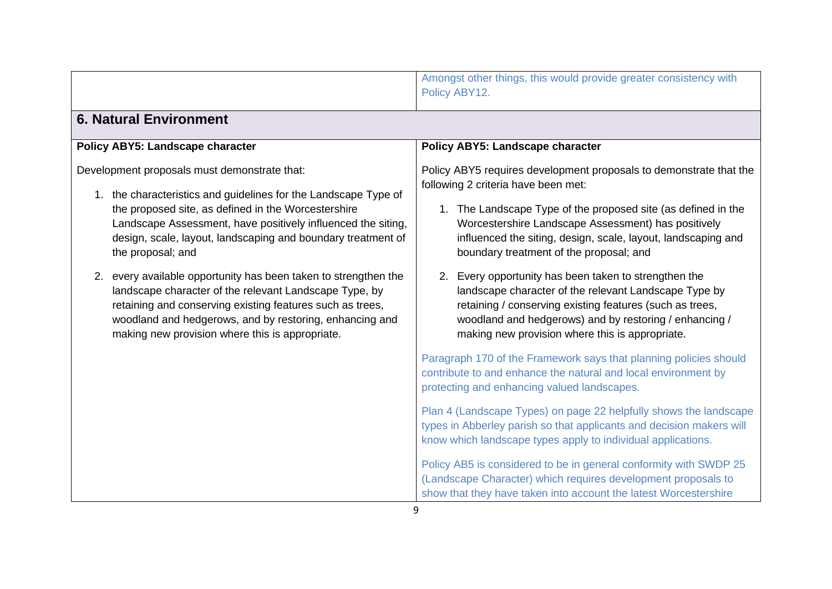|                                                                                                                                                                                                                                                                                                                             | Amongst other things, this would provide greater consistency with<br>Policy ABY12.                                                                                                                                                                                                                                                            |
|-----------------------------------------------------------------------------------------------------------------------------------------------------------------------------------------------------------------------------------------------------------------------------------------------------------------------------|-----------------------------------------------------------------------------------------------------------------------------------------------------------------------------------------------------------------------------------------------------------------------------------------------------------------------------------------------|
| <b>6. Natural Environment</b>                                                                                                                                                                                                                                                                                               |                                                                                                                                                                                                                                                                                                                                               |
| Policy ABY5: Landscape character                                                                                                                                                                                                                                                                                            | Policy ABY5: Landscape character                                                                                                                                                                                                                                                                                                              |
| Development proposals must demonstrate that:<br>1. the characteristics and guidelines for the Landscape Type of<br>the proposed site, as defined in the Worcestershire<br>Landscape Assessment, have positively influenced the siting,<br>design, scale, layout, landscaping and boundary treatment of<br>the proposal; and | Policy ABY5 requires development proposals to demonstrate that the<br>following 2 criteria have been met:<br>1. The Landscape Type of the proposed site (as defined in the<br>Worcestershire Landscape Assessment) has positively<br>influenced the siting, design, scale, layout, landscaping and<br>boundary treatment of the proposal; and |
| 2. every available opportunity has been taken to strengthen the<br>landscape character of the relevant Landscape Type, by<br>retaining and conserving existing features such as trees,<br>woodland and hedgerows, and by restoring, enhancing and<br>making new provision where this is appropriate.                        | 2. Every opportunity has been taken to strengthen the<br>landscape character of the relevant Landscape Type by<br>retaining / conserving existing features (such as trees,<br>woodland and hedgerows) and by restoring / enhancing /<br>making new provision where this is appropriate.                                                       |
|                                                                                                                                                                                                                                                                                                                             | Paragraph 170 of the Framework says that planning policies should<br>contribute to and enhance the natural and local environment by<br>protecting and enhancing valued landscapes.                                                                                                                                                            |
|                                                                                                                                                                                                                                                                                                                             | Plan 4 (Landscape Types) on page 22 helpfully shows the landscape<br>types in Abberley parish so that applicants and decision makers will<br>know which landscape types apply to individual applications.                                                                                                                                     |
|                                                                                                                                                                                                                                                                                                                             | Policy AB5 is considered to be in general conformity with SWDP 25<br>(Landscape Character) which requires development proposals to<br>show that they have taken into account the latest Worcestershire                                                                                                                                        |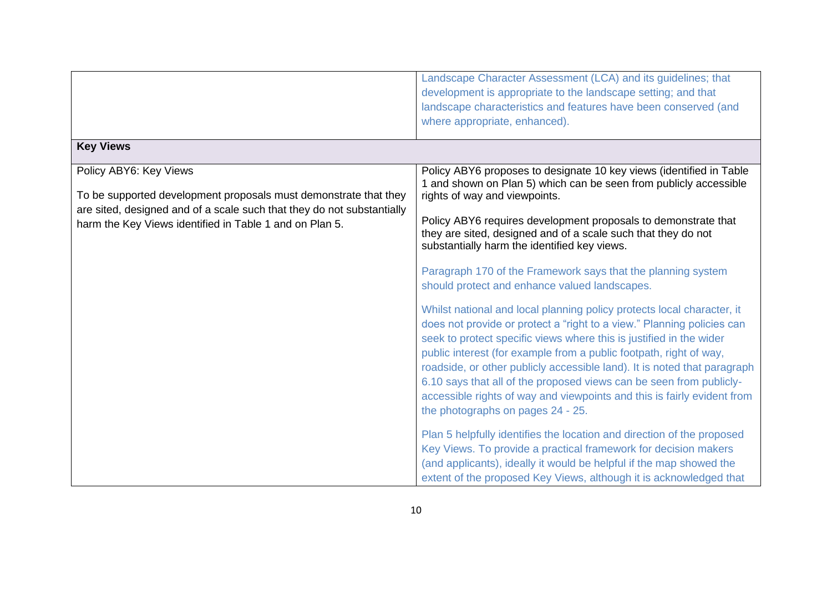|                                                                                                                                                                                                                                 | Landscape Character Assessment (LCA) and its guidelines; that<br>development is appropriate to the landscape setting; and that<br>landscape characteristics and features have been conserved (and<br>where appropriate, enhanced).                                                                                                                                                                                                                                                                                                                               |
|---------------------------------------------------------------------------------------------------------------------------------------------------------------------------------------------------------------------------------|------------------------------------------------------------------------------------------------------------------------------------------------------------------------------------------------------------------------------------------------------------------------------------------------------------------------------------------------------------------------------------------------------------------------------------------------------------------------------------------------------------------------------------------------------------------|
| <b>Key Views</b>                                                                                                                                                                                                                |                                                                                                                                                                                                                                                                                                                                                                                                                                                                                                                                                                  |
| Policy ABY6: Key Views<br>To be supported development proposals must demonstrate that they<br>are sited, designed and of a scale such that they do not substantially<br>harm the Key Views identified in Table 1 and on Plan 5. | Policy ABY6 proposes to designate 10 key views (identified in Table<br>1 and shown on Plan 5) which can be seen from publicly accessible<br>rights of way and viewpoints.<br>Policy ABY6 requires development proposals to demonstrate that<br>they are sited, designed and of a scale such that they do not<br>substantially harm the identified key views.                                                                                                                                                                                                     |
|                                                                                                                                                                                                                                 | Paragraph 170 of the Framework says that the planning system<br>should protect and enhance valued landscapes.                                                                                                                                                                                                                                                                                                                                                                                                                                                    |
|                                                                                                                                                                                                                                 | Whilst national and local planning policy protects local character, it<br>does not provide or protect a "right to a view." Planning policies can<br>seek to protect specific views where this is justified in the wider<br>public interest (for example from a public footpath, right of way,<br>roadside, or other publicly accessible land). It is noted that paragraph<br>6.10 says that all of the proposed views can be seen from publicly-<br>accessible rights of way and viewpoints and this is fairly evident from<br>the photographs on pages 24 - 25. |
|                                                                                                                                                                                                                                 | Plan 5 helpfully identifies the location and direction of the proposed<br>Key Views. To provide a practical framework for decision makers<br>(and applicants), ideally it would be helpful if the map showed the<br>extent of the proposed Key Views, although it is acknowledged that                                                                                                                                                                                                                                                                           |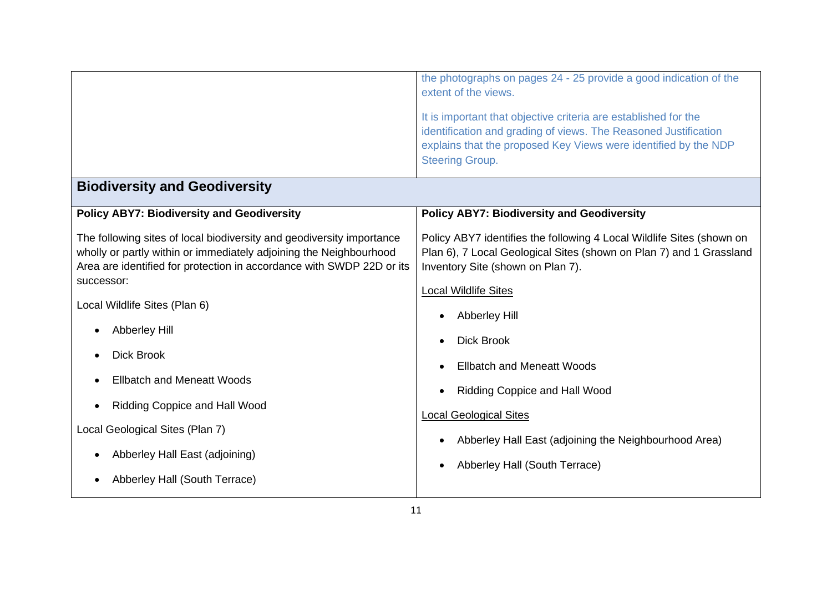|                                                                                                                                                                                                                      | the photographs on pages 24 - 25 provide a good indication of the<br>extent of the views.<br>It is important that objective criteria are established for the<br>identification and grading of views. The Reasoned Justification<br>explains that the proposed Key Views were identified by the NDP<br><b>Steering Group.</b> |
|----------------------------------------------------------------------------------------------------------------------------------------------------------------------------------------------------------------------|------------------------------------------------------------------------------------------------------------------------------------------------------------------------------------------------------------------------------------------------------------------------------------------------------------------------------|
| <b>Biodiversity and Geodiversity</b>                                                                                                                                                                                 |                                                                                                                                                                                                                                                                                                                              |
| <b>Policy ABY7: Biodiversity and Geodiversity</b>                                                                                                                                                                    | <b>Policy ABY7: Biodiversity and Geodiversity</b>                                                                                                                                                                                                                                                                            |
| The following sites of local biodiversity and geodiversity importance<br>wholly or partly within or immediately adjoining the Neighbourhood<br>Area are identified for protection in accordance with SWDP 22D or its | Policy ABY7 identifies the following 4 Local Wildlife Sites (shown on<br>Plan 6), 7 Local Geological Sites (shown on Plan 7) and 1 Grassland<br>Inventory Site (shown on Plan 7).                                                                                                                                            |
| successor:                                                                                                                                                                                                           | <b>Local Wildlife Sites</b>                                                                                                                                                                                                                                                                                                  |
| Local Wildlife Sites (Plan 6)                                                                                                                                                                                        |                                                                                                                                                                                                                                                                                                                              |
| <b>Abberley Hill</b>                                                                                                                                                                                                 | <b>Abberley Hill</b><br><b>Dick Brook</b>                                                                                                                                                                                                                                                                                    |
| <b>Dick Brook</b>                                                                                                                                                                                                    | <b>Ellbatch and Meneatt Woods</b>                                                                                                                                                                                                                                                                                            |
| <b>Ellbatch and Meneatt Woods</b>                                                                                                                                                                                    | <b>Ridding Coppice and Hall Wood</b>                                                                                                                                                                                                                                                                                         |
| Ridding Coppice and Hall Wood                                                                                                                                                                                        | <b>Local Geological Sites</b>                                                                                                                                                                                                                                                                                                |
| Local Geological Sites (Plan 7)                                                                                                                                                                                      | Abberley Hall East (adjoining the Neighbourhood Area)                                                                                                                                                                                                                                                                        |
| Abberley Hall East (adjoining)                                                                                                                                                                                       | Abberley Hall (South Terrace)                                                                                                                                                                                                                                                                                                |
| Abberley Hall (South Terrace)                                                                                                                                                                                        |                                                                                                                                                                                                                                                                                                                              |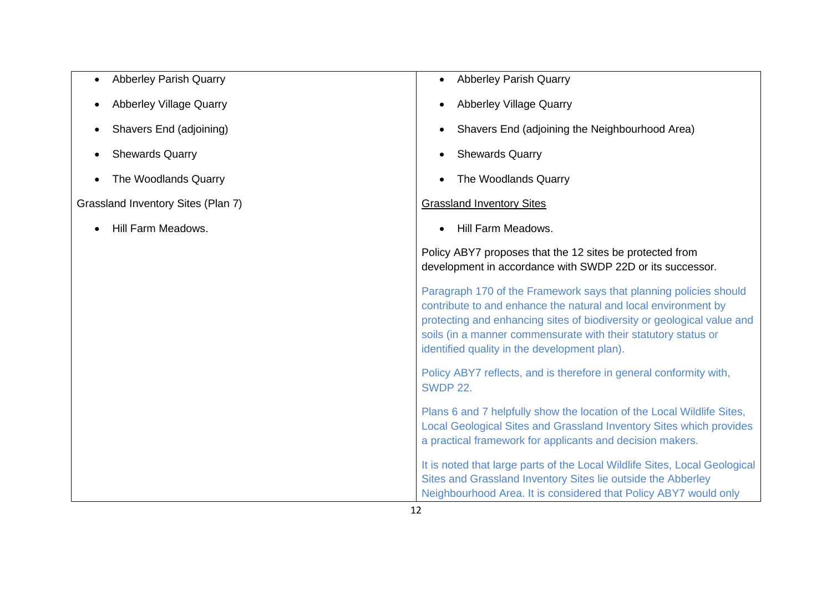| <b>Abberley Parish Quarry</b>      | <b>Abberley Parish Quarry</b>                                                                                                                                                                                                                                                                                                   |
|------------------------------------|---------------------------------------------------------------------------------------------------------------------------------------------------------------------------------------------------------------------------------------------------------------------------------------------------------------------------------|
| <b>Abberley Village Quarry</b>     | <b>Abberley Village Quarry</b>                                                                                                                                                                                                                                                                                                  |
| Shavers End (adjoining)            | Shavers End (adjoining the Neighbourhood Area)                                                                                                                                                                                                                                                                                  |
| <b>Shewards Quarry</b>             | <b>Shewards Quarry</b>                                                                                                                                                                                                                                                                                                          |
| The Woodlands Quarry               | The Woodlands Quarry                                                                                                                                                                                                                                                                                                            |
| Grassland Inventory Sites (Plan 7) | <b>Grassland Inventory Sites</b>                                                                                                                                                                                                                                                                                                |
| Hill Farm Meadows.                 | Hill Farm Meadows.                                                                                                                                                                                                                                                                                                              |
|                                    | Policy ABY7 proposes that the 12 sites be protected from<br>development in accordance with SWDP 22D or its successor.                                                                                                                                                                                                           |
|                                    | Paragraph 170 of the Framework says that planning policies should<br>contribute to and enhance the natural and local environment by<br>protecting and enhancing sites of biodiversity or geological value and<br>soils (in a manner commensurate with their statutory status or<br>identified quality in the development plan). |
|                                    | Policy ABY7 reflects, and is therefore in general conformity with,<br><b>SWDP 22.</b>                                                                                                                                                                                                                                           |
|                                    | Plans 6 and 7 helpfully show the location of the Local Wildlife Sites,<br>Local Geological Sites and Grassland Inventory Sites which provides<br>a practical framework for applicants and decision makers.                                                                                                                      |
|                                    | It is noted that large parts of the Local Wildlife Sites, Local Geological<br>Sites and Grassland Inventory Sites lie outside the Abberley<br>Neighbourhood Area. It is considered that Policy ABY7 would only                                                                                                                  |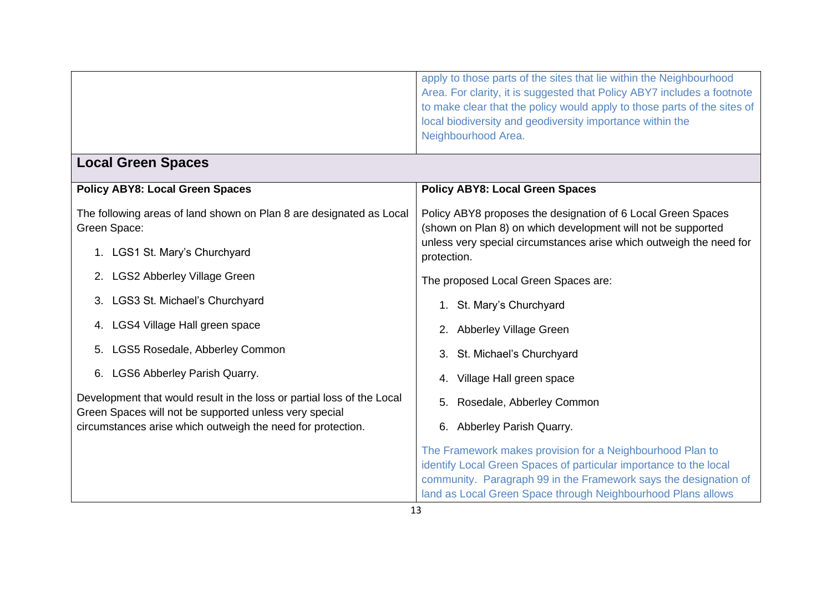|                                                                                                                                  | apply to those parts of the sites that lie within the Neighbourhood<br>Area. For clarity, it is suggested that Policy ABY7 includes a footnote<br>to make clear that the policy would apply to those parts of the sites of<br>local biodiversity and geodiversity importance within the<br>Neighbourhood Area. |
|----------------------------------------------------------------------------------------------------------------------------------|----------------------------------------------------------------------------------------------------------------------------------------------------------------------------------------------------------------------------------------------------------------------------------------------------------------|
| <b>Local Green Spaces</b>                                                                                                        |                                                                                                                                                                                                                                                                                                                |
| <b>Policy ABY8: Local Green Spaces</b>                                                                                           | <b>Policy ABY8: Local Green Spaces</b>                                                                                                                                                                                                                                                                         |
| The following areas of land shown on Plan 8 are designated as Local<br>Green Space:                                              | Policy ABY8 proposes the designation of 6 Local Green Spaces<br>(shown on Plan 8) on which development will not be supported                                                                                                                                                                                   |
| 1. LGS1 St. Mary's Churchyard                                                                                                    | unless very special circumstances arise which outweigh the need for<br>protection.                                                                                                                                                                                                                             |
| <b>LGS2 Abberley Village Green</b><br>2.                                                                                         | The proposed Local Green Spaces are:                                                                                                                                                                                                                                                                           |
| 3. LGS3 St. Michael's Churchyard                                                                                                 | 1. St. Mary's Churchyard                                                                                                                                                                                                                                                                                       |
| 4. LGS4 Village Hall green space                                                                                                 | 2. Abberley Village Green                                                                                                                                                                                                                                                                                      |
| LGS5 Rosedale, Abberley Common<br>5.                                                                                             | St. Michael's Churchyard                                                                                                                                                                                                                                                                                       |
| 6. LGS6 Abberley Parish Quarry.                                                                                                  | Village Hall green space<br>4.                                                                                                                                                                                                                                                                                 |
| Development that would result in the loss or partial loss of the Local<br>Green Spaces will not be supported unless very special | Rosedale, Abberley Common<br>5.                                                                                                                                                                                                                                                                                |
| circumstances arise which outweigh the need for protection.                                                                      | 6. Abberley Parish Quarry.                                                                                                                                                                                                                                                                                     |
|                                                                                                                                  | The Framework makes provision for a Neighbourhood Plan to<br>identify Local Green Spaces of particular importance to the local<br>community. Paragraph 99 in the Framework says the designation of<br>land as Local Green Space through Neighbourhood Plans allows                                             |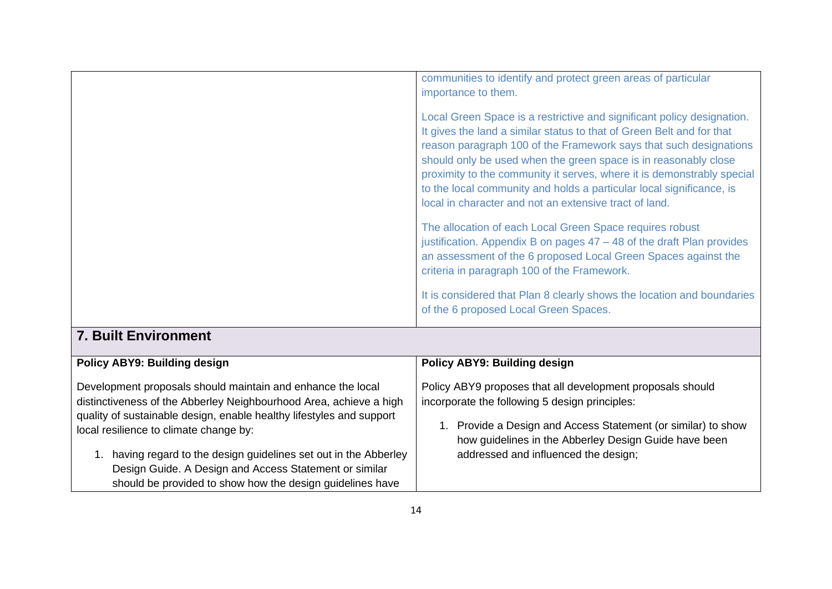|                                                                                                                                                                                                                                                                                                                                                                                                                                                 | communities to identify and protect green areas of particular<br>importance to them.                                                                                                                                                                                                                                                                                                                                                                                                                                                                                                                                                                                                                                                                                                                                                |
|-------------------------------------------------------------------------------------------------------------------------------------------------------------------------------------------------------------------------------------------------------------------------------------------------------------------------------------------------------------------------------------------------------------------------------------------------|-------------------------------------------------------------------------------------------------------------------------------------------------------------------------------------------------------------------------------------------------------------------------------------------------------------------------------------------------------------------------------------------------------------------------------------------------------------------------------------------------------------------------------------------------------------------------------------------------------------------------------------------------------------------------------------------------------------------------------------------------------------------------------------------------------------------------------------|
|                                                                                                                                                                                                                                                                                                                                                                                                                                                 | Local Green Space is a restrictive and significant policy designation.<br>It gives the land a similar status to that of Green Belt and for that<br>reason paragraph 100 of the Framework says that such designations<br>should only be used when the green space is in reasonably close<br>proximity to the community it serves, where it is demonstrably special<br>to the local community and holds a particular local significance, is<br>local in character and not an extensive tract of land.<br>The allocation of each Local Green Space requires robust<br>justification. Appendix B on pages 47 – 48 of the draft Plan provides<br>an assessment of the 6 proposed Local Green Spaces against the<br>criteria in paragraph 100 of the Framework.<br>It is considered that Plan 8 clearly shows the location and boundaries |
|                                                                                                                                                                                                                                                                                                                                                                                                                                                 | of the 6 proposed Local Green Spaces.                                                                                                                                                                                                                                                                                                                                                                                                                                                                                                                                                                                                                                                                                                                                                                                               |
| <b>7. Built Environment</b>                                                                                                                                                                                                                                                                                                                                                                                                                     |                                                                                                                                                                                                                                                                                                                                                                                                                                                                                                                                                                                                                                                                                                                                                                                                                                     |
| Policy ABY9: Building design                                                                                                                                                                                                                                                                                                                                                                                                                    | <b>Policy ABY9: Building design</b>                                                                                                                                                                                                                                                                                                                                                                                                                                                                                                                                                                                                                                                                                                                                                                                                 |
| Development proposals should maintain and enhance the local<br>distinctiveness of the Abberley Neighbourhood Area, achieve a high<br>quality of sustainable design, enable healthy lifestyles and support<br>local resilience to climate change by:<br>1. having regard to the design guidelines set out in the Abberley<br>Design Guide. A Design and Access Statement or similar<br>should be provided to show how the design guidelines have | Policy ABY9 proposes that all development proposals should<br>incorporate the following 5 design principles:<br>1. Provide a Design and Access Statement (or similar) to show<br>how guidelines in the Abberley Design Guide have been<br>addressed and influenced the design;                                                                                                                                                                                                                                                                                                                                                                                                                                                                                                                                                      |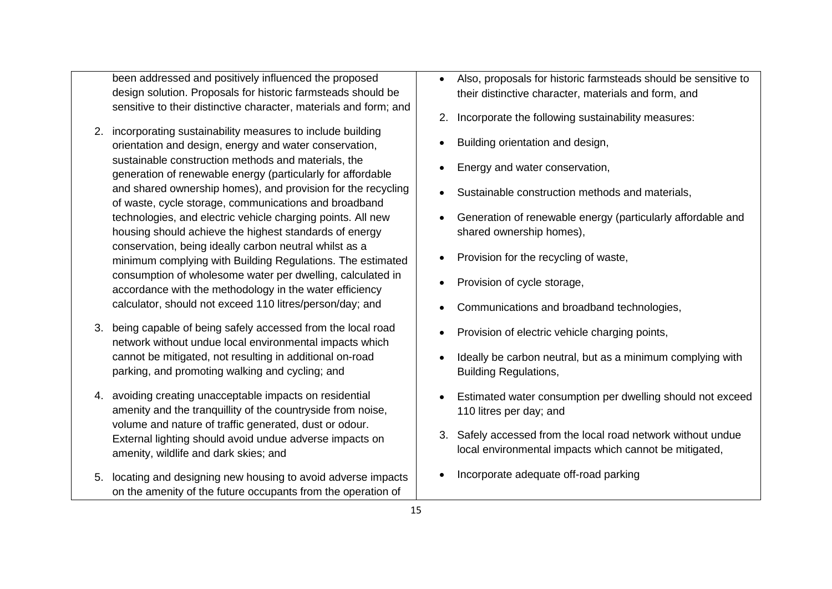been addressed and positively influenced the proposed design solution. Proposals for historic farmsteads should be sensitive to their distinctive character, materials and form; and

- 2. incorporating sustainability measures to include building orientation and design, energy and water conservation, sustainable construction methods and materials, the generation of renewable energy (particularly for affordable and shared ownership homes), and provision for the recycling of waste, cycle storage, communications and broadband technologies, and electric vehicle charging points. All new housing should achieve the highest standards of energy conservation, being ideally carbon neutral whilst as a minimum complying with Building Regulations. The estimated consumption of wholesome water per dwelling, calculated in accordance with the methodology in the water efficiency calculator, should not exceed 110 litres/person/day; and
- 3. being capable of being safely accessed from the local road network without undue local environmental impacts which cannot be mitigated, not resulting in additional on-road parking, and promoting walking and cycling; and
- 4. avoiding creating unacceptable impacts on residential amenity and the tranquillity of the countryside from noise, volume and nature of traffic generated, dust or odour. External lighting should avoid undue adverse impacts on amenity, wildlife and dark skies; and
- 5. locating and designing new housing to avoid adverse impacts on the amenity of the future occupants from the operation of
- Also, proposals for historic farmsteads should be sensitive to their distinctive character, materials and form, and
- 2. Incorporate the following sustainability measures:
- Building orientation and design,
- Energy and water conservation,
- Sustainable construction methods and materials,
- Generation of renewable energy (particularly affordable and shared ownership homes),
- Provision for the recycling of waste,
- Provision of cycle storage,
- Communications and broadband technologies,
- Provision of electric vehicle charging points,
- Ideally be carbon neutral, but as a minimum complying with Building Regulations,
- Estimated water consumption per dwelling should not exceed 110 litres per day; and
- 3. Safely accessed from the local road network without undue local environmental impacts which cannot be mitigated,
- Incorporate adequate off-road parking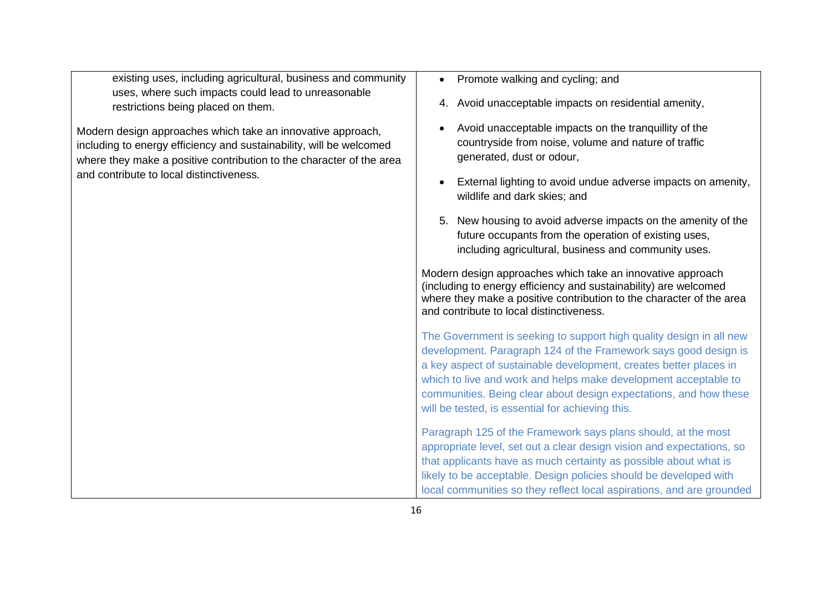existing uses, including agricultural, business and community uses, where such impacts could lead to unreasonable restrictions being placed on them.

Modern design approaches which take an innovative approach, including to energy efficiency and sustainability, will be welcomed where they make a positive contribution to the character of the area and contribute to local distinctiveness.

- Promote walking and cycling; and
- 4. Avoid unacceptable impacts on residential amenity,
- Avoid unacceptable impacts on the tranquillity of the countryside from noise, volume and nature of traffic generated, dust or odour,
- External lighting to avoid undue adverse impacts on amenity, wildlife and dark skies; and
- 5. New housing to avoid adverse impacts on the amenity of the future occupants from the operation of existing uses, including agricultural, business and community uses.

Modern design approaches which take an innovative approach (including to energy efficiency and sustainability) are welcomed where they make a positive contribution to the character of the area and contribute to local distinctiveness.

The Government is seeking to support high quality design in all new development. Paragraph 124 of the Framework says good design is a key aspect of sustainable development, creates better places in which to live and work and helps make development acceptable to communities. Being clear about design expectations, and how these will be tested, is essential for achieving this.

Paragraph 125 of the Framework says plans should, at the most appropriate level, set out a clear design vision and expectations, so that applicants have as much certainty as possible about what is likely to be acceptable. Design policies should be developed with local communities so they reflect local aspirations, and are grounded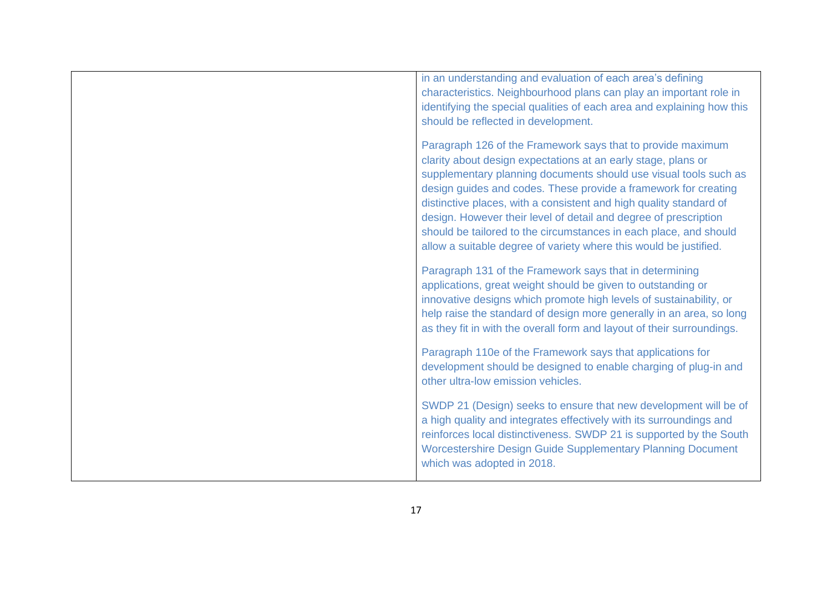| in an understanding and evaluation of each area's defining<br>characteristics. Neighbourhood plans can play an important role in<br>identifying the special qualities of each area and explaining how this<br>should be reflected in development.                                                                                                                                                                                                                                                                                                       |
|---------------------------------------------------------------------------------------------------------------------------------------------------------------------------------------------------------------------------------------------------------------------------------------------------------------------------------------------------------------------------------------------------------------------------------------------------------------------------------------------------------------------------------------------------------|
| Paragraph 126 of the Framework says that to provide maximum<br>clarity about design expectations at an early stage, plans or<br>supplementary planning documents should use visual tools such as<br>design guides and codes. These provide a framework for creating<br>distinctive places, with a consistent and high quality standard of<br>design. However their level of detail and degree of prescription<br>should be tailored to the circumstances in each place, and should<br>allow a suitable degree of variety where this would be justified. |
| Paragraph 131 of the Framework says that in determining<br>applications, great weight should be given to outstanding or<br>innovative designs which promote high levels of sustainability, or<br>help raise the standard of design more generally in an area, so long<br>as they fit in with the overall form and layout of their surroundings.                                                                                                                                                                                                         |
| Paragraph 110e of the Framework says that applications for<br>development should be designed to enable charging of plug-in and<br>other ultra-low emission vehicles.                                                                                                                                                                                                                                                                                                                                                                                    |
| SWDP 21 (Design) seeks to ensure that new development will be of<br>a high quality and integrates effectively with its surroundings and<br>reinforces local distinctiveness. SWDP 21 is supported by the South<br><b>Worcestershire Design Guide Supplementary Planning Document</b><br>which was adopted in 2018.                                                                                                                                                                                                                                      |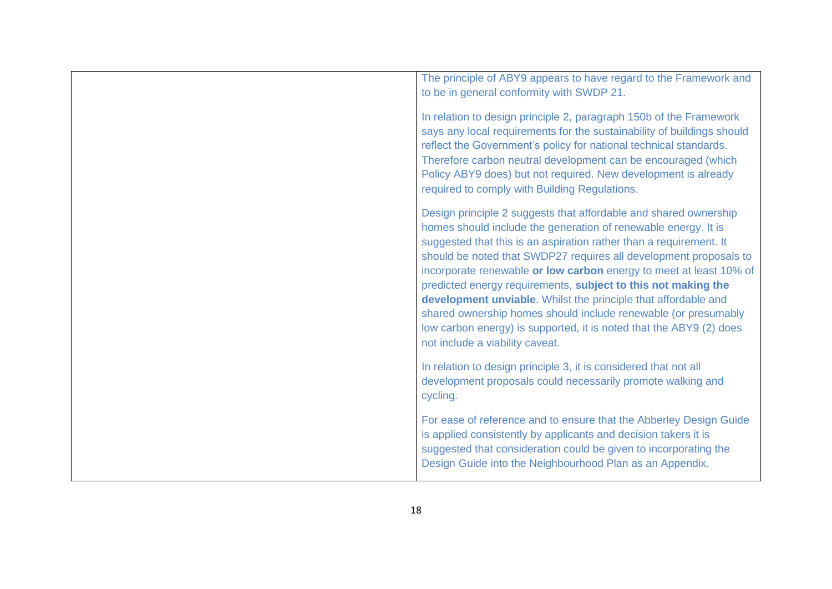| The principle of ABY9 appears to have regard to the Framework and<br>to be in general conformity with SWDP 21.                                                                                                                                                                                                                                                                                                                                                                                                                                                                                                                                                     |
|--------------------------------------------------------------------------------------------------------------------------------------------------------------------------------------------------------------------------------------------------------------------------------------------------------------------------------------------------------------------------------------------------------------------------------------------------------------------------------------------------------------------------------------------------------------------------------------------------------------------------------------------------------------------|
| In relation to design principle 2, paragraph 150b of the Framework<br>says any local requirements for the sustainability of buildings should<br>reflect the Government's policy for national technical standards.<br>Therefore carbon neutral development can be encouraged (which<br>Policy ABY9 does) but not required. New development is already<br>required to comply with Building Regulations.                                                                                                                                                                                                                                                              |
| Design principle 2 suggests that affordable and shared ownership<br>homes should include the generation of renewable energy. It is<br>suggested that this is an aspiration rather than a requirement. It<br>should be noted that SWDP27 requires all development proposals to<br>incorporate renewable or low carbon energy to meet at least 10% of<br>predicted energy requirements, subject to this not making the<br>development unviable. Whilst the principle that affordable and<br>shared ownership homes should include renewable (or presumably<br>low carbon energy) is supported, it is noted that the ABY9 (2) does<br>not include a viability caveat. |
| In relation to design principle 3, it is considered that not all<br>development proposals could necessarily promote walking and<br>cycling.                                                                                                                                                                                                                                                                                                                                                                                                                                                                                                                        |
| For ease of reference and to ensure that the Abberley Design Guide<br>is applied consistently by applicants and decision takers it is<br>suggested that consideration could be given to incorporating the<br>Design Guide into the Neighbourhood Plan as an Appendix.                                                                                                                                                                                                                                                                                                                                                                                              |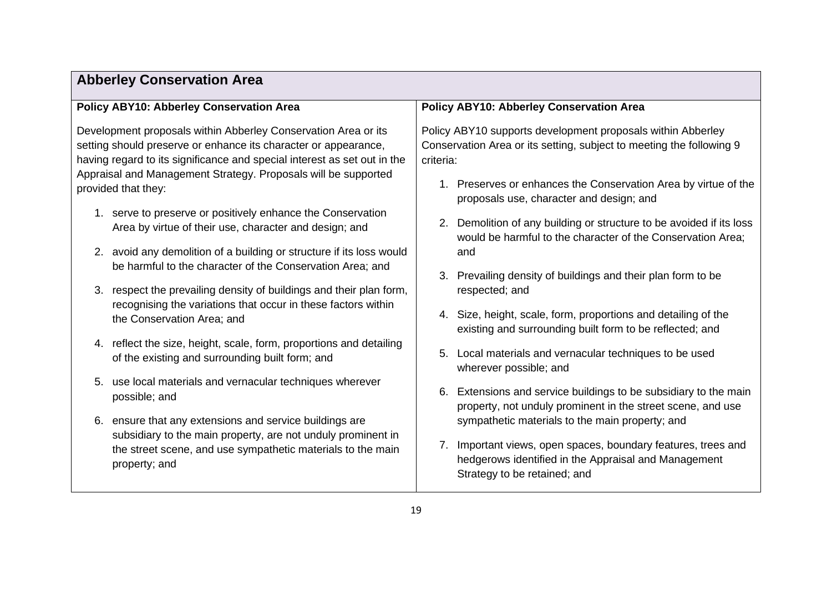| <b>Policy ABY10: Abberley Conservation Area</b>                          | <b>Policy ABY10: Abberley Conservation Area</b>                      |
|--------------------------------------------------------------------------|----------------------------------------------------------------------|
| Development proposals within Abberley Conservation Area or its           | Policy ABY10 supports development proposals within Abberley          |
| setting should preserve or enhance its character or appearance,          | Conservation Area or its setting, subject to meeting the following 9 |
| having regard to its significance and special interest as set out in the | criteria:                                                            |
| Appraisal and Management Strategy. Proposals will be supported           | 1. Preserves or enhances the Conservation Area by virtue of the      |
| provided that they:                                                      | proposals use, character and design; and                             |
| 1. serve to preserve or positively enhance the Conservation              | 2. Demolition of any building or structure to be avoided if its loss |
| Area by virtue of their use, character and design; and                   | would be harmful to the character of the Conservation Area;          |
| 2. avoid any demolition of a building or structure if its loss would     | and                                                                  |
| be harmful to the character of the Conservation Area; and                | Prevailing density of buildings and their plan form to be            |
| respect the prevailing density of buildings and their plan form,         | 3.                                                                   |
| 3.                                                                       | respected; and                                                       |
| recognising the variations that occur in these factors within            | 4. Size, height, scale, form, proportions and detailing of the       |
| the Conservation Area; and                                               | existing and surrounding built form to be reflected; and             |
| 4. reflect the size, height, scale, form, proportions and detailing      | Local materials and vernacular techniques to be used                 |
| of the existing and surrounding built form; and                          | 5.                                                                   |
| use local materials and vernacular techniques wherever                   | wherever possible; and                                               |
| 5.                                                                       | Extensions and service buildings to be subsidiary to the main        |
| possible; and                                                            | 6.                                                                   |
| ensure that any extensions and service buildings are                     | property, not unduly prominent in the street scene, and use          |
| 6.                                                                       | sympathetic materials to the main property; and                      |
| subsidiary to the main property, are not unduly prominent in             | 7. Important views, open spaces, boundary features, trees and        |
| the street scene, and use sympathetic materials to the main              | hedgerows identified in the Appraisal and Management                 |
| property; and                                                            | Strategy to be retained; and                                         |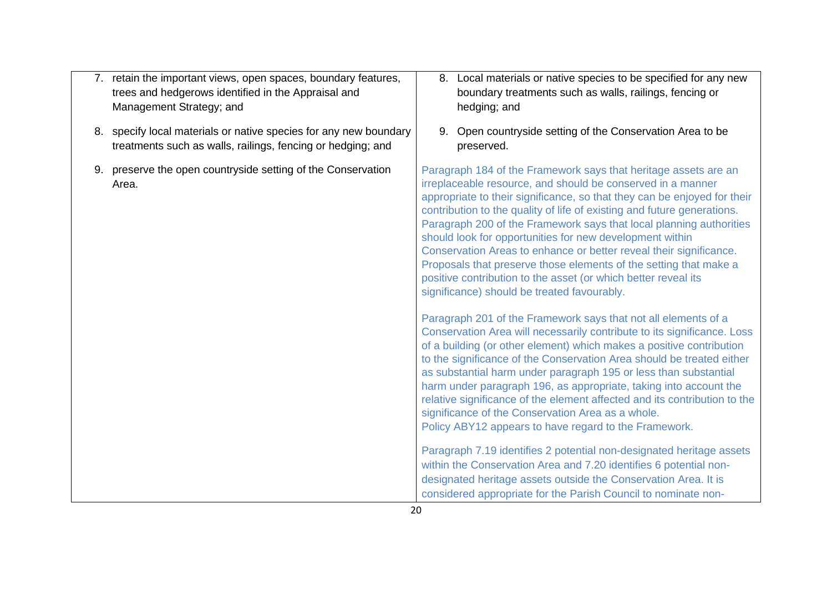- 7. retain the important views, open spaces, boundary features, trees and hedgerows identified in the Appraisal and Management Strategy; and
- 8. specify local materials or native species for any new boundary treatments such as walls, railings, fencing or hedging; and
- 9. preserve the open countryside setting of the Conservation Area.
- 8. Local materials or native species to be specified for any new boundary treatments such as walls, railings, fencing or hedging; and
- 9. Open countryside setting of the Conservation Area to be preserved.

Paragraph 184 of the Framework says that heritage assets are an irreplaceable resource, and should be conserved in a manner appropriate to their significance, so that they can be enjoyed for their contribution to the quality of life of existing and future generations. Paragraph 200 of the Framework says that local planning authorities should look for opportunities for new development within Conservation Areas to enhance or better reveal their significance. Proposals that preserve those elements of the setting that make a positive contribution to the asset (or which better reveal its significance) should be treated favourably.

Paragraph 201 of the Framework says that not all elements of a Conservation Area will necessarily contribute to its significance. Loss of a building (or other element) which makes a positive contribution to the significance of the Conservation Area should be treated either as substantial harm under paragraph 195 or less than substantial harm under paragraph 196, as appropriate, taking into account the relative significance of the element affected and its contribution to the significance of the Conservation Area as a whole. Policy ABY12 appears to have regard to the Framework.

Paragraph 7.19 identifies 2 potential non-designated heritage assets within the Conservation Area and 7.20 identifies 6 potential nondesignated heritage assets outside the Conservation Area. It is considered appropriate for the Parish Council to nominate non-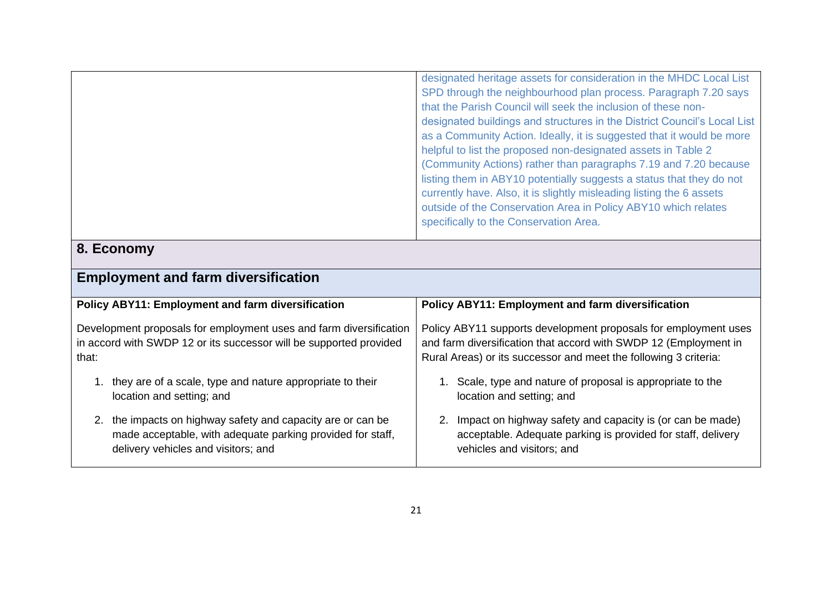| designated heritage assets for consideration in the MHDC Local List      |
|--------------------------------------------------------------------------|
| SPD through the neighbourhood plan process. Paragraph 7.20 says          |
| that the Parish Council will seek the inclusion of these non-            |
| designated buildings and structures in the District Council's Local List |
| as a Community Action. Ideally, it is suggested that it would be more    |
| helpful to list the proposed non-designated assets in Table 2            |
| (Community Actions) rather than paragraphs 7.19 and 7.20 because         |
| listing them in ABY10 potentially suggests a status that they do not     |
| currently have. Also, it is slightly misleading listing the 6 assets     |
| outside of the Conservation Area in Policy ABY10 which relates           |
| specifically to the Conservation Area.                                   |
|                                                                          |

# **8. Economy**

| Policy ABY11: Employment and farm diversification                                                                                                                | Policy ABY11: Employment and farm diversification                                                                                                                                                       |
|------------------------------------------------------------------------------------------------------------------------------------------------------------------|---------------------------------------------------------------------------------------------------------------------------------------------------------------------------------------------------------|
| Development proposals for employment uses and farm diversification<br>in accord with SWDP 12 or its successor will be supported provided<br>that:                | Policy ABY11 supports development proposals for employment uses<br>and farm diversification that accord with SWDP 12 (Employment in<br>Rural Areas) or its successor and meet the following 3 criteria: |
| 1. they are of a scale, type and nature appropriate to their<br>location and setting; and                                                                        | 1. Scale, type and nature of proposal is appropriate to the<br>location and setting; and                                                                                                                |
| 2. the impacts on highway safety and capacity are or can be<br>made acceptable, with adequate parking provided for staff,<br>delivery vehicles and visitors; and | Impact on highway safety and capacity is (or can be made)<br>2.<br>acceptable. Adequate parking is provided for staff, delivery<br>vehicles and visitors; and                                           |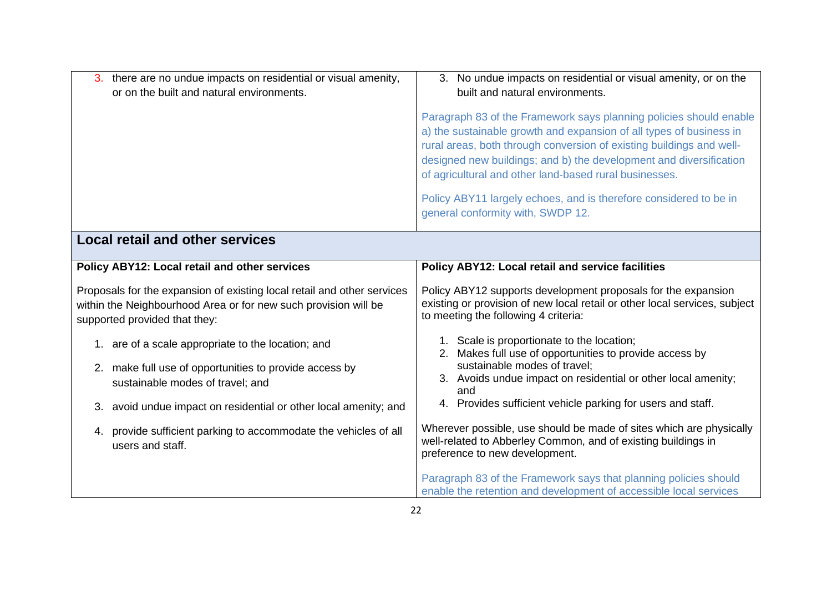| 3. there are no undue impacts on residential or visual amenity,<br>or on the built and natural environments.                                                                | 3. No undue impacts on residential or visual amenity, or on the<br>built and natural environments.                                                                                                                                                                                                                                                |
|-----------------------------------------------------------------------------------------------------------------------------------------------------------------------------|---------------------------------------------------------------------------------------------------------------------------------------------------------------------------------------------------------------------------------------------------------------------------------------------------------------------------------------------------|
|                                                                                                                                                                             | Paragraph 83 of the Framework says planning policies should enable<br>a) the sustainable growth and expansion of all types of business in<br>rural areas, both through conversion of existing buildings and well-<br>designed new buildings; and b) the development and diversification<br>of agricultural and other land-based rural businesses. |
|                                                                                                                                                                             | Policy ABY11 largely echoes, and is therefore considered to be in<br>general conformity with, SWDP 12.                                                                                                                                                                                                                                            |
| <b>Local retail and other services</b>                                                                                                                                      |                                                                                                                                                                                                                                                                                                                                                   |
| Policy ABY12: Local retail and other services                                                                                                                               | Policy ABY12: Local retail and service facilities                                                                                                                                                                                                                                                                                                 |
| Proposals for the expansion of existing local retail and other services<br>within the Neighbourhood Area or for new such provision will be<br>supported provided that they: | Policy ABY12 supports development proposals for the expansion<br>existing or provision of new local retail or other local services, subject<br>to meeting the following 4 criteria:                                                                                                                                                               |
| 1. are of a scale appropriate to the location; and                                                                                                                          | 1. Scale is proportionate to the location;<br>Makes full use of opportunities to provide access by<br>2.                                                                                                                                                                                                                                          |
| 2. make full use of opportunities to provide access by<br>sustainable modes of travel; and                                                                                  | sustainable modes of travel;<br>3. Avoids undue impact on residential or other local amenity;<br>and                                                                                                                                                                                                                                              |
| 3. avoid undue impact on residential or other local amenity; and                                                                                                            | 4. Provides sufficient vehicle parking for users and staff.                                                                                                                                                                                                                                                                                       |
| 4. provide sufficient parking to accommodate the vehicles of all<br>users and staff.                                                                                        | Wherever possible, use should be made of sites which are physically<br>well-related to Abberley Common, and of existing buildings in<br>preference to new development.                                                                                                                                                                            |
|                                                                                                                                                                             | Paragraph 83 of the Framework says that planning policies should<br>enable the retention and development of accessible local services                                                                                                                                                                                                             |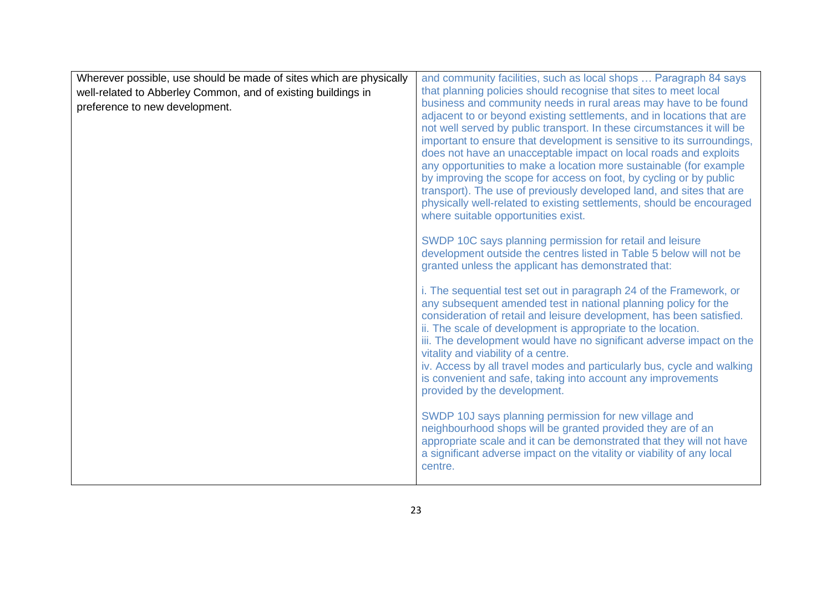| Wherever possible, use should be made of sites which are physically | and community facilities, such as local shops  Paragraph 84 says                                                                                                                                                                                                                                                                                                                                                                                                                                                                                                                                                                                                                                                                                                                                                                                                                                |
|---------------------------------------------------------------------|-------------------------------------------------------------------------------------------------------------------------------------------------------------------------------------------------------------------------------------------------------------------------------------------------------------------------------------------------------------------------------------------------------------------------------------------------------------------------------------------------------------------------------------------------------------------------------------------------------------------------------------------------------------------------------------------------------------------------------------------------------------------------------------------------------------------------------------------------------------------------------------------------|
| well-related to Abberley Common, and of existing buildings in       | that planning policies should recognise that sites to meet local                                                                                                                                                                                                                                                                                                                                                                                                                                                                                                                                                                                                                                                                                                                                                                                                                                |
| preference to new development.                                      | business and community needs in rural areas may have to be found<br>adjacent to or beyond existing settlements, and in locations that are<br>not well served by public transport. In these circumstances it will be<br>important to ensure that development is sensitive to its surroundings,<br>does not have an unacceptable impact on local roads and exploits<br>any opportunities to make a location more sustainable (for example<br>by improving the scope for access on foot, by cycling or by public<br>transport). The use of previously developed land, and sites that are<br>physically well-related to existing settlements, should be encouraged<br>where suitable opportunities exist.<br>SWDP 10C says planning permission for retail and leisure<br>development outside the centres listed in Table 5 below will not be<br>granted unless the applicant has demonstrated that: |
|                                                                     | i. The sequential test set out in paragraph 24 of the Framework, or<br>any subsequent amended test in national planning policy for the<br>consideration of retail and leisure development, has been satisfied.<br>ii. The scale of development is appropriate to the location.<br>iii. The development would have no significant adverse impact on the<br>vitality and viability of a centre.<br>iv. Access by all travel modes and particularly bus, cycle and walking<br>is convenient and safe, taking into account any improvements<br>provided by the development.                                                                                                                                                                                                                                                                                                                         |
|                                                                     | SWDP 10J says planning permission for new village and<br>neighbourhood shops will be granted provided they are of an<br>appropriate scale and it can be demonstrated that they will not have<br>a significant adverse impact on the vitality or viability of any local<br>centre.                                                                                                                                                                                                                                                                                                                                                                                                                                                                                                                                                                                                               |